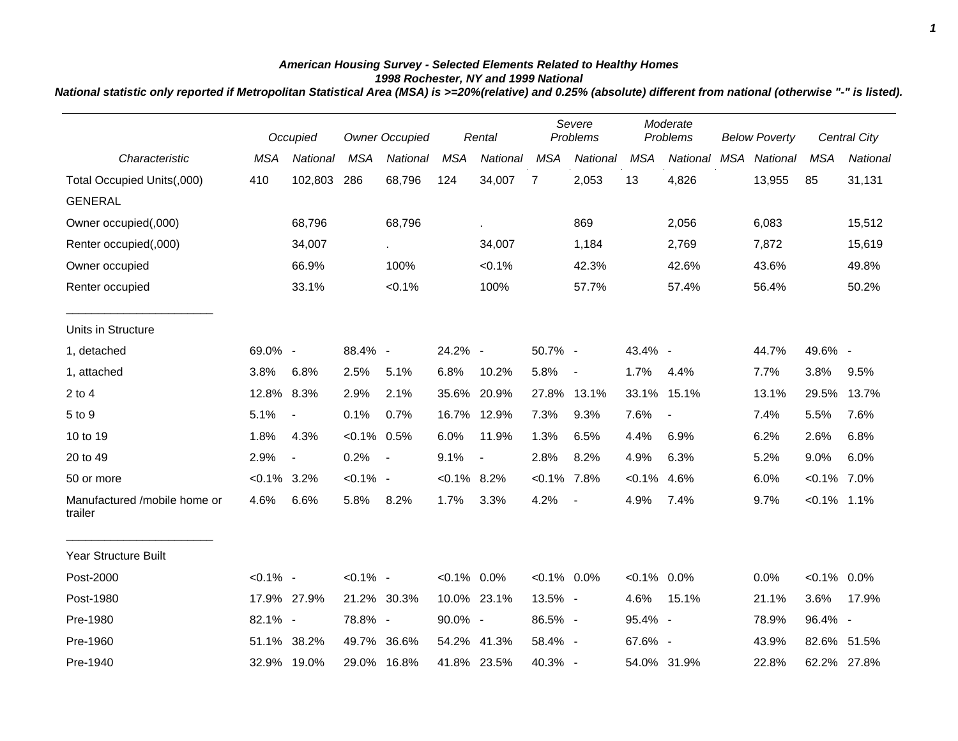## *American Housing Survey - Selected Elements Related to Healthy Homes 1998 Rochester, NY and 1999 National*

*National statistic only reported if Metropolitan Statistical Area (MSA) is >=20%(relative) and 0.25% (absolute) different from national (otherwise "-" is listed).*

|                                         |                | Occupied                 |                | <b>Owner Occupied</b>    |                | Rental         |                | Severe<br>Problems       |                | Moderate<br>Problems |     | <b>Below Poverty</b> |                | Central City |
|-----------------------------------------|----------------|--------------------------|----------------|--------------------------|----------------|----------------|----------------|--------------------------|----------------|----------------------|-----|----------------------|----------------|--------------|
| Characteristic                          | <b>MSA</b>     | National                 | <b>MSA</b>     | National                 | <b>MSA</b>     | National       | <b>MSA</b>     | National                 | <b>MSA</b>     | National             | MSA | National             | <b>MSA</b>     | National     |
| Total Occupied Units(,000)              | 410            | 102,803                  | 286            | 68,796                   | 124            | 34,007         | $\overline{7}$ | 2,053                    | 13             | 4,826                |     | 13,955               | 85             | 31,131       |
| <b>GENERAL</b>                          |                |                          |                |                          |                |                |                |                          |                |                      |     |                      |                |              |
| Owner occupied(,000)                    |                | 68,796                   |                | 68,796                   |                |                |                | 869                      |                | 2,056                |     | 6,083                |                | 15,512       |
| Renter occupied(,000)                   |                | 34,007                   |                | $\sim$                   |                | 34,007         |                | 1,184                    |                | 2,769                |     | 7,872                |                | 15,619       |
| Owner occupied                          |                | 66.9%                    |                | 100%                     |                | < 0.1%         |                | 42.3%                    |                | 42.6%                |     | 43.6%                |                | 49.8%        |
| Renter occupied                         |                | 33.1%                    |                | $< 0.1\%$                |                | 100%           |                | 57.7%                    |                | 57.4%                |     | 56.4%                |                | 50.2%        |
| Units in Structure                      |                |                          |                |                          |                |                |                |                          |                |                      |     |                      |                |              |
| 1, detached                             | 69.0% -        |                          | 88.4% -        |                          | 24.2% -        |                | 50.7% -        |                          | 43.4% -        |                      |     | 44.7%                | 49.6% -        |              |
| 1, attached                             | 3.8%           | 6.8%                     | 2.5%           | 5.1%                     | 6.8%           | 10.2%          | 5.8%           | $\overline{\phantom{a}}$ | 1.7%           | 4.4%                 |     | 7.7%                 | 3.8%           | 9.5%         |
| $2$ to $4$                              | 12.8% 8.3%     |                          | 2.9%           | 2.1%                     | 35.6%          | 20.9%          | 27.8%          | 13.1%                    | 33.1%          | 15.1%                |     | 13.1%                | 29.5%          | 13.7%        |
| 5 to 9                                  | 5.1%           | $\blacksquare$           | 0.1%           | 0.7%                     |                | 16.7% 12.9%    | 7.3%           | 9.3%                     | 7.6%           | $\blacksquare$       |     | 7.4%                 | 5.5%           | 7.6%         |
| 10 to 19                                | 1.8%           | 4.3%                     | $< 0.1\%$ 0.5% |                          | 6.0%           | 11.9%          | 1.3%           | 6.5%                     | 4.4%           | 6.9%                 |     | 6.2%                 | 2.6%           | 6.8%         |
| 20 to 49                                | 2.9%           | $\overline{\phantom{a}}$ | 0.2%           | $\overline{\phantom{a}}$ | 9.1%           | $\blacksquare$ | 2.8%           | 8.2%                     | 4.9%           | 6.3%                 |     | 5.2%                 | 9.0%           | 6.0%         |
| 50 or more                              | $< 0.1\%$ 3.2% |                          | $< 0.1\%$ -    |                          | $< 0.1\%$ 8.2% |                | $< 0.1\%$ 7.8% |                          | $< 0.1\%$      | 4.6%                 |     | 6.0%                 | $< 0.1\%$ 7.0% |              |
| Manufactured /mobile home or<br>trailer | 4.6%           | 6.6%                     | 5.8%           | 8.2%                     | 1.7%           | 3.3%           | 4.2%           | $\overline{\phantom{a}}$ | 4.9%           | 7.4%                 |     | 9.7%                 | $< 0.1\%$ 1.1% |              |
| Year Structure Built                    |                |                          |                |                          |                |                |                |                          |                |                      |     |                      |                |              |
| Post-2000                               | $< 0.1\%$ -    |                          | $< 0.1\%$ -    |                          | $< 0.1\%$ 0.0% |                | $< 0.1\%$ 0.0% |                          | $< 0.1\%$ 0.0% |                      |     | 0.0%                 | $< 0.1\%$ 0.0% |              |
| Post-1980                               |                | 17.9% 27.9%              |                | 21.2% 30.3%              |                | 10.0% 23.1%    | 13.5% -        |                          | 4.6%           | 15.1%                |     | 21.1%                | 3.6%           | 17.9%        |
| Pre-1980                                | 82.1% -        |                          | 78.8% -        |                          | 90.0% -        |                | 86.5% -        |                          | 95.4% -        |                      |     | 78.9%                | 96.4% -        |              |
| Pre-1960                                |                | 51.1% 38.2%              |                | 49.7% 36.6%              |                | 54.2% 41.3%    | 58.4% -        |                          | 67.6% -        |                      |     | 43.9%                | 82.6%          | 51.5%        |
| Pre-1940                                |                | 32.9% 19.0%              |                | 29.0% 16.8%              |                | 41.8% 23.5%    | 40.3% -        |                          |                | 54.0% 31.9%          |     | 22.8%                |                | 62.2% 27.8%  |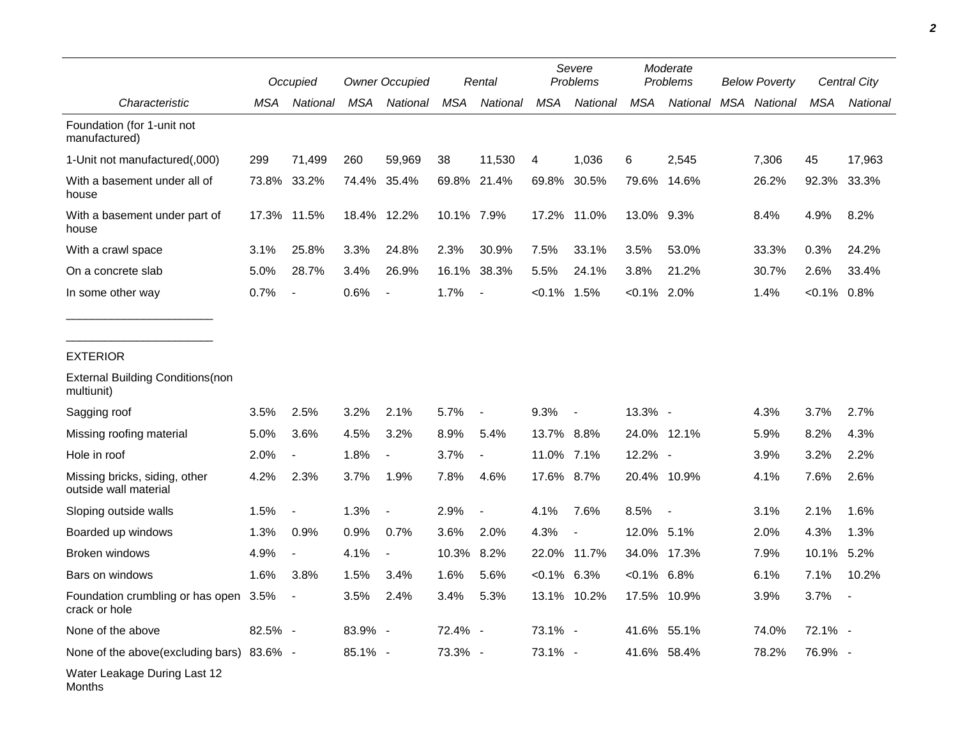|                                                        | Occupied |                          | <b>Owner Occupied</b> |                          | Rental     |                          | Severe<br>Problems |                          | Moderate<br><b>Problems</b> |             | <b>Below Poverty</b> | Central City   |          |
|--------------------------------------------------------|----------|--------------------------|-----------------------|--------------------------|------------|--------------------------|--------------------|--------------------------|-----------------------------|-------------|----------------------|----------------|----------|
| Characteristic                                         | MSA      | National                 | <b>MSA</b>            | National                 | MSA        | National                 | <b>MSA</b>         | National                 | <b>MSA</b>                  | National    | MSA National         | <b>MSA</b>     | National |
| Foundation (for 1-unit not<br>manufactured)            |          |                          |                       |                          |            |                          |                    |                          |                             |             |                      |                |          |
| 1-Unit not manufactured(,000)                          | 299      | 71,499                   | 260                   | 59,969                   | 38         | 11,530                   | 4                  | 1.036                    | 6                           | 2.545       | 7,306                | 45             | 17,963   |
| With a basement under all of<br>house                  |          | 73.8% 33.2%              |                       | 74.4% 35.4%              |            | 69.8% 21.4%              | 69.8%              | 30.5%                    | 79.6%                       | 14.6%       | 26.2%                | 92.3%          | 33.3%    |
| With a basement under part of<br>house                 | 17.3%    | 11.5%                    |                       | 18.4% 12.2%              | 10.1% 7.9% |                          |                    | 17.2% 11.0%              | 13.0% 9.3%                  |             | 8.4%                 | 4.9%           | 8.2%     |
| With a crawl space                                     | 3.1%     | 25.8%                    | 3.3%                  | 24.8%                    | 2.3%       | 30.9%                    | 7.5%               | 33.1%                    | 3.5%                        | 53.0%       | 33.3%                | 0.3%           | 24.2%    |
| On a concrete slab                                     | 5.0%     | 28.7%                    | 3.4%                  | 26.9%                    | 16.1%      | 38.3%                    | 5.5%               | 24.1%                    | 3.8%                        | 21.2%       | 30.7%                | 2.6%           | 33.4%    |
| In some other way                                      | 0.7%     | $\blacksquare$           | 0.6%                  | $\overline{\phantom{a}}$ | 1.7%       | $\overline{\phantom{a}}$ | $< 0.1\%$          | 1.5%                     | $< 0.1\%$ 2.0%              |             | 1.4%                 | $< 0.1\%$ 0.8% |          |
|                                                        |          |                          |                       |                          |            |                          |                    |                          |                             |             |                      |                |          |
| <b>EXTERIOR</b>                                        |          |                          |                       |                          |            |                          |                    |                          |                             |             |                      |                |          |
| <b>External Building Conditions(non</b><br>multiunit)  |          |                          |                       |                          |            |                          |                    |                          |                             |             |                      |                |          |
| Sagging roof                                           | 3.5%     | 2.5%                     | 3.2%                  | 2.1%                     | 5.7%       | $\overline{\phantom{a}}$ | 9.3%               | $\overline{\phantom{a}}$ | 13.3% -                     |             | 4.3%                 | 3.7%           | 2.7%     |
| Missing roofing material                               | 5.0%     | 3.6%                     | 4.5%                  | 3.2%                     | 8.9%       | 5.4%                     | 13.7% 8.8%         |                          |                             | 24.0% 12.1% | 5.9%                 | 8.2%           | 4.3%     |
| Hole in roof                                           | 2.0%     | $\overline{\phantom{a}}$ | 1.8%                  | $\overline{\phantom{a}}$ | 3.7%       | $\overline{\phantom{a}}$ | 11.0%              | 7.1%                     | 12.2% -                     |             | 3.9%                 | 3.2%           | 2.2%     |
| Missing bricks, siding, other<br>outside wall material | 4.2%     | 2.3%                     | 3.7%                  | 1.9%                     | 7.8%       | 4.6%                     | 17.6% 8.7%         |                          |                             | 20.4% 10.9% | 4.1%                 | 7.6%           | 2.6%     |
| Sloping outside walls                                  | 1.5%     |                          | 1.3%                  | $\blacksquare$           | 2.9%       |                          | 4.1%               | 7.6%                     | 8.5%                        |             | 3.1%                 | 2.1%           | 1.6%     |
| Boarded up windows                                     | 1.3%     | 0.9%                     | 0.9%                  | 0.7%                     | 3.6%       | 2.0%                     | 4.3%               | $\overline{\phantom{a}}$ | 12.0%                       | 5.1%        | 2.0%                 | 4.3%           | 1.3%     |
| <b>Broken windows</b>                                  | 4.9%     | $\overline{\phantom{a}}$ | 4.1%                  | $\overline{\phantom{a}}$ | 10.3%      | 8.2%                     |                    | 22.0% 11.7%              | 34.0%                       | 17.3%       | 7.9%                 | 10.1%          | 5.2%     |
| Bars on windows                                        | 1.6%     | 3.8%                     | 1.5%                  | 3.4%                     | 1.6%       | 5.6%                     | $<0.1\%$ 6.3%      |                          | $<0.1\%$ 6.8%               |             | 6.1%                 | 7.1%           | 10.2%    |
| Foundation crumbling or has open 3.5%<br>crack or hole |          | $\overline{\phantom{a}}$ | 3.5%                  | 2.4%                     | 3.4%       | 5.3%                     |                    | 13.1% 10.2%              |                             | 17.5% 10.9% | 3.9%                 | 3.7%           |          |
| None of the above                                      | 82.5% -  |                          | 83.9% -               |                          | 72.4% -    |                          | 73.1% -            |                          |                             | 41.6% 55.1% | 74.0%                | $72.1\%$ -     |          |
| None of the above(excluding bars) 83.6% -              |          |                          | 85.1% -               |                          | 73.3% -    |                          | 73.1% -            |                          |                             | 41.6% 58.4% | 78.2%                | 76.9% -        |          |
| Water Leakage During Last 12                           |          |                          |                       |                          |            |                          |                    |                          |                             |             |                      |                |          |

Months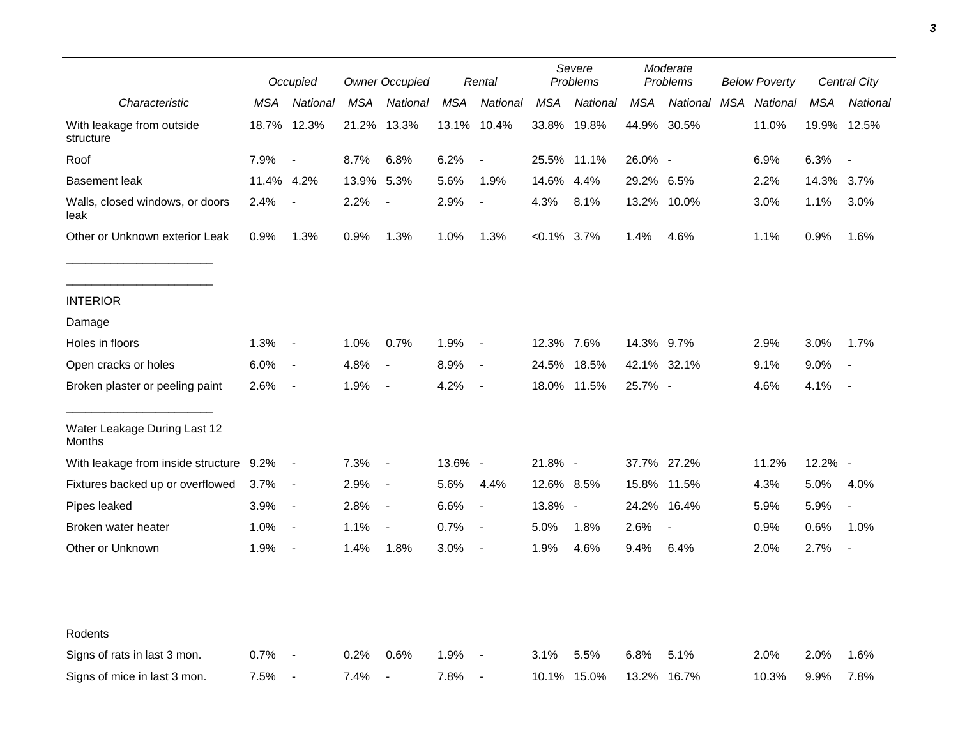|                                         |            | Occupied                 |            | <b>Owner Occupied</b>    |         | Rental                   | Severe<br>Problems |             | Moderate<br>Problems |                          | <b>Below Poverty</b> |          | Central City |                          |
|-----------------------------------------|------------|--------------------------|------------|--------------------------|---------|--------------------------|--------------------|-------------|----------------------|--------------------------|----------------------|----------|--------------|--------------------------|
| Characteristic                          | <b>MSA</b> | National                 | <b>MSA</b> | National                 | MSA     | National                 | <b>MSA</b>         | National    | MSA                  | National                 | MSA                  | National | <b>MSA</b>   | National                 |
| With leakage from outside<br>structure  |            | 18.7% 12.3%              | 21.2%      | 13.3%                    | 13.1%   | 10.4%                    | 33.8%              | 19.8%       |                      | 44.9% 30.5%              |                      | 11.0%    | 19.9% 12.5%  |                          |
| Roof                                    | 7.9%       | $\overline{\phantom{a}}$ | 8.7%       | 6.8%                     | 6.2%    | $\overline{\phantom{a}}$ |                    | 25.5% 11.1% | 26.0% -              |                          |                      | 6.9%     | 6.3%         | $\overline{\phantom{a}}$ |
| <b>Basement leak</b>                    | 11.4% 4.2% |                          | 13.9%      | 5.3%                     | 5.6%    | 1.9%                     | 14.6%              | 4.4%        | 29.2%                | 6.5%                     |                      | 2.2%     | 14.3%        | 3.7%                     |
| Walls, closed windows, or doors<br>leak | 2.4%       | $\overline{\phantom{a}}$ | 2.2%       | $\overline{\phantom{a}}$ | 2.9%    | $\overline{\phantom{a}}$ | 4.3%               | 8.1%        |                      | 13.2% 10.0%              |                      | 3.0%     | 1.1%         | 3.0%                     |
| Other or Unknown exterior Leak          | 0.9%       | 1.3%                     | 0.9%       | 1.3%                     | 1.0%    | 1.3%                     | $< 0.1\%$ 3.7%     |             | 1.4%                 | 4.6%                     |                      | 1.1%     | 0.9%         | 1.6%                     |
| <b>INTERIOR</b>                         |            |                          |            |                          |         |                          |                    |             |                      |                          |                      |          |              |                          |
| Damage                                  |            |                          |            |                          |         |                          |                    |             |                      |                          |                      |          |              |                          |
| Holes in floors                         | 1.3%       | $\sim$                   | 1.0%       | 0.7%                     | 1.9%    | $\sim$                   | 12.3% 7.6%         |             | 14.3% 9.7%           |                          |                      | 2.9%     | 3.0%         | 1.7%                     |
| Open cracks or holes                    | 6.0%       | $\sim$                   | 4.8%       | $\blacksquare$           | 8.9%    | $\sim$                   | 24.5%              | 18.5%       |                      | 42.1% 32.1%              |                      | 9.1%     | 9.0%         | $\blacksquare$           |
| Broken plaster or peeling paint         | 2.6%       | $\overline{\phantom{a}}$ | 1.9%       | $\blacksquare$           | 4.2%    | $\blacksquare$           |                    | 18.0% 11.5% | 25.7% -              |                          |                      | 4.6%     | 4.1%         | $\blacksquare$           |
| Water Leakage During Last 12<br>Months  |            |                          |            |                          |         |                          |                    |             |                      |                          |                      |          |              |                          |
| With leakage from inside structure 9.2% |            | $\sim$ $-$               | 7.3%       | $\blacksquare$           | 13.6% - |                          | 21.8% -            |             |                      | 37.7% 27.2%              |                      | 11.2%    | 12.2% -      |                          |
| Fixtures backed up or overflowed        | 3.7%       | $\sim$                   | 2.9%       | $\blacksquare$           | 5.6%    | 4.4%                     | 12.6% 8.5%         |             | 15.8%                | 11.5%                    |                      | 4.3%     | 5.0%         | 4.0%                     |
| Pipes leaked                            | 3.9%       | $\sim$                   | 2.8%       | $\overline{\phantom{a}}$ | 6.6%    | $\overline{\phantom{a}}$ | 13.8% -            |             | 24.2%                | 16.4%                    |                      | 5.9%     | 5.9%         | $\blacksquare$           |
| Broken water heater                     | 1.0%       | $\blacksquare$           | 1.1%       | $\blacksquare$           | 0.7%    | $\sim$                   | 5.0%               | 1.8%        | 2.6%                 | $\overline{\phantom{a}}$ |                      | 0.9%     | 0.6%         | 1.0%                     |
| Other or Unknown                        | 1.9%       | $\blacksquare$           | 1.4%       | 1.8%                     | 3.0%    | $\sim$                   | 1.9%               | 4.6%        | 9.4%                 | 6.4%                     |                      | 2.0%     | 2.7%         | $\overline{\phantom{a}}$ |
|                                         |            |                          |            |                          |         |                          |                    |             |                      |                          |                      |          |              |                          |
| Rodents                                 |            |                          |            |                          |         |                          |                    |             |                      |                          |                      |          |              |                          |
| Signs of rats in last 3 mon.            | 0.7%       | $\overline{\phantom{a}}$ | 0.2%       | 0.6%                     | 1.9%    | $\sim$                   | 3.1%               | 5.5%        | 6.8%                 | 5.1%                     |                      | 2.0%     | 2.0%         | 1.6%                     |
| Signs of mice in last 3 mon.            | 7.5%       | $\overline{\phantom{a}}$ | 7.4%       | $\blacksquare$           | 7.8%    | $\overline{\phantom{a}}$ |                    | 10.1% 15.0% |                      | 13.2% 16.7%              |                      | 10.3%    | 9.9%         | 7.8%                     |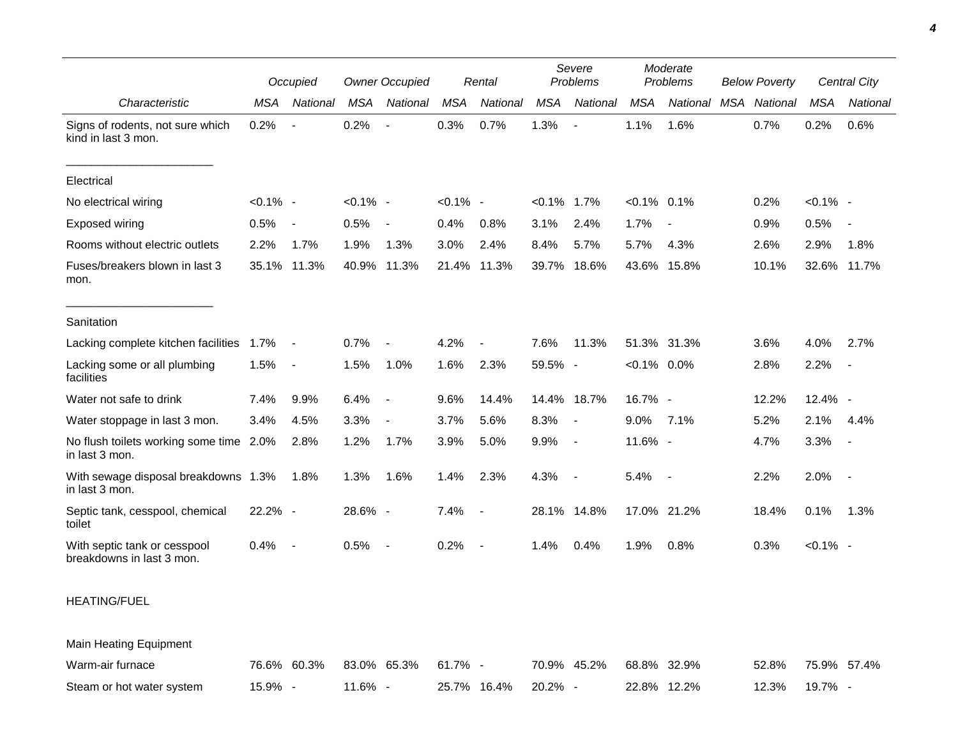|                                                           | Occupied    |                | <b>Owner Occupied</b> |                          |             | Rental                   | Severe<br>Problems |                          | Moderate<br>Problems |             | <b>Below Poverty</b> |          | Central City |                          |
|-----------------------------------------------------------|-------------|----------------|-----------------------|--------------------------|-------------|--------------------------|--------------------|--------------------------|----------------------|-------------|----------------------|----------|--------------|--------------------------|
| Characteristic                                            | <b>MSA</b>  | National       | <b>MSA</b>            | National                 | <b>MSA</b>  | National                 | <b>MSA</b>         | <b>National</b>          | <b>MSA</b>           | National    | MSA                  | National | MSA          | National                 |
| Signs of rodents, not sure which<br>kind in last 3 mon.   | 0.2%        |                | 0.2%                  | L,                       | 0.3%        | 0.7%                     | 1.3%               | $\overline{\phantom{a}}$ | 1.1%                 | 1.6%        |                      | 0.7%     | 0.2%         | 0.6%                     |
| Electrical                                                |             |                |                       |                          |             |                          |                    |                          |                      |             |                      |          |              |                          |
| No electrical wiring                                      | $< 0.1\%$ - |                | $< 0.1\%$ -           |                          | $< 0.1\%$ - |                          | $< 0.1\%$          | 1.7%                     | $< 0.1\%$ 0.1%       |             |                      | 0.2%     | $< 0.1\%$ -  |                          |
| Exposed wiring                                            | 0.5%        |                | 0.5%                  | $\overline{\phantom{a}}$ | 0.4%        | 0.8%                     | 3.1%               | 2.4%                     | 1.7%                 |             |                      | 0.9%     | 0.5%         |                          |
| Rooms without electric outlets                            | 2.2%        | 1.7%           | 1.9%                  | 1.3%                     | 3.0%        | 2.4%                     | 8.4%               | 5.7%                     | 5.7%                 | 4.3%        |                      | 2.6%     | 2.9%         | 1.8%                     |
| Fuses/breakers blown in last 3<br>mon.                    |             | 35.1% 11.3%    | 40.9%                 | 11.3%                    |             | 21.4% 11.3%              | 39.7%              | 18.6%                    | 43.6%                | 15.8%       |                      | 10.1%    | 32.6%        | 11.7%                    |
| Sanitation                                                |             |                |                       |                          |             |                          |                    |                          |                      |             |                      |          |              |                          |
| Lacking complete kitchen facilities                       | 1.7%        | $\blacksquare$ | 0.7%                  | $\blacksquare$           | 4.2%        |                          | 7.6%               | 11.3%                    |                      | 51.3% 31.3% |                      | 3.6%     | 4.0%         | 2.7%                     |
| Lacking some or all plumbing<br>facilities                | 1.5%        |                | 1.5%                  | 1.0%                     | 1.6%        | 2.3%                     | 59.5% -            |                          | $< 0.1\%$ 0.0%       |             |                      | 2.8%     | 2.2%         |                          |
| Water not safe to drink                                   | 7.4%        | 9.9%           | 6.4%                  | $\blacksquare$           | 9.6%        | 14.4%                    |                    | 14.4% 18.7%              | 16.7% -              |             |                      | 12.2%    | 12.4% -      |                          |
| Water stoppage in last 3 mon.                             | 3.4%        | 4.5%           | 3.3%                  | $\blacksquare$           | 3.7%        | 5.6%                     | 8.3%               | $\blacksquare$           | 9.0%                 | 7.1%        |                      | 5.2%     | 2.1%         | 4.4%                     |
| No flush toilets working some time 2.0%<br>in last 3 mon. |             | 2.8%           | 1.2%                  | 1.7%                     | 3.9%        | 5.0%                     | 9.9%               | $\blacksquare$           | 11.6% -              |             |                      | 4.7%     | 3.3%         | $\overline{\phantom{a}}$ |
| With sewage disposal breakdowns 1.3%<br>in last 3 mon.    |             | 1.8%           | 1.3%                  | 1.6%                     | 1.4%        | 2.3%                     | 4.3%               | $\blacksquare$           | 5.4%                 | $\sim$ $-$  |                      | 2.2%     | 2.0%         | $\overline{\phantom{a}}$ |
| Septic tank, cesspool, chemical<br>toilet                 | 22.2% -     |                | 28.6% -               |                          | 7.4%        | $\overline{\phantom{a}}$ |                    | 28.1% 14.8%              |                      | 17.0% 21.2% |                      | 18.4%    | 0.1%         | 1.3%                     |
| With septic tank or cesspool<br>breakdowns in last 3 mon. | 0.4%        |                | 0.5%                  | $\overline{\phantom{a}}$ | 0.2%        |                          | 1.4%               | 0.4%                     | 1.9%                 | 0.8%        |                      | 0.3%     | $< 0.1\%$ -  |                          |
| <b>HEATING/FUEL</b>                                       |             |                |                       |                          |             |                          |                    |                          |                      |             |                      |          |              |                          |
| Main Heating Equipment                                    |             |                |                       |                          |             |                          |                    |                          |                      |             |                      |          |              |                          |
| Warm-air furnace                                          |             | 76.6% 60.3%    |                       | 83.0% 65.3%              | 61.7% -     |                          |                    | 70.9% 45.2%              |                      | 68.8% 32.9% |                      | 52.8%    |              | 75.9% 57.4%              |
| Steam or hot water system                                 | 15.9% -     |                | 11.6% -               |                          |             | 25.7% 16.4%              | 20.2% -            |                          |                      | 22.8% 12.2% |                      | 12.3%    | 19.7% -      |                          |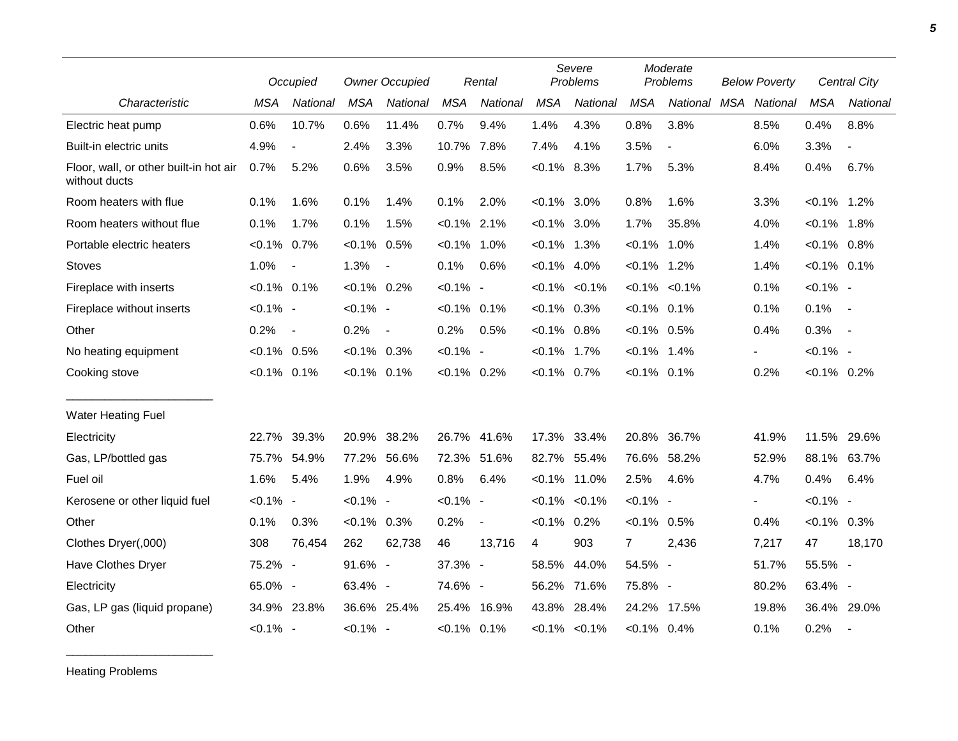|                                                         |                | Occupied                 |                | <b>Owner Occupied</b>    |                | Rental         |                | Severe<br>Problems  |                | Moderate<br>Problems     | <b>Below Poverty</b> |       | Central City   |                          |
|---------------------------------------------------------|----------------|--------------------------|----------------|--------------------------|----------------|----------------|----------------|---------------------|----------------|--------------------------|----------------------|-------|----------------|--------------------------|
| Characteristic                                          | <b>MSA</b>     | <b>National</b>          | <b>MSA</b>     | National                 | <b>MSA</b>     | National       | <b>MSA</b>     | National            | <b>MSA</b>     | National MSA National    |                      |       | <b>MSA</b>     | National                 |
| Electric heat pump                                      | 0.6%           | 10.7%                    | 0.6%           | 11.4%                    | 0.7%           | 9.4%           | 1.4%           | 4.3%                | 0.8%           | 3.8%                     |                      | 8.5%  | 0.4%           | 8.8%                     |
| Built-in electric units                                 | 4.9%           | $\overline{\phantom{a}}$ | 2.4%           | 3.3%                     | 10.7%          | 7.8%           | 7.4%           | 4.1%                | 3.5%           | $\overline{\phantom{a}}$ |                      | 6.0%  | 3.3%           | $\blacksquare$           |
| Floor, wall, or other built-in hot air<br>without ducts | 0.7%           | 5.2%                     | 0.6%           | 3.5%                     | 0.9%           | 8.5%           | $< 0.1\%$      | 8.3%                | 1.7%           | 5.3%                     |                      | 8.4%  | 0.4%           | 6.7%                     |
| Room heaters with flue                                  | 0.1%           | 1.6%                     | 0.1%           | 1.4%                     | 0.1%           | 2.0%           | $< 0.1\%$ 3.0% |                     | 0.8%           | 1.6%                     |                      | 3.3%  | $< 0.1\%$      | 1.2%                     |
| Room heaters without flue                               | 0.1%           | 1.7%                     | 0.1%           | 1.5%                     | $< 0.1\%$ 2.1% |                | $< 0.1\%$ 3.0% |                     | 1.7%           | 35.8%                    |                      | 4.0%  | $< 0.1\%$ 1.8% |                          |
| Portable electric heaters                               | $< 0.1\%$ 0.7% |                          | $< 0.1\%$ 0.5% |                          | $< 0.1\%$ 1.0% |                | $< 0.1\%$ 1.3% |                     | $< 0.1\%$      | 1.0%                     |                      | 1.4%  | $< 0.1\%$ 0.8% |                          |
| <b>Stoves</b>                                           | 1.0%           | $\overline{\phantom{a}}$ | 1.3%           | $\overline{\phantom{a}}$ | 0.1%           | 0.6%           | $< 0.1\%$ 4.0% |                     | $< 0.1\%$ 1.2% |                          |                      | 1.4%  | $< 0.1\%$ 0.1% |                          |
| Fireplace with inserts                                  | $< 0.1\%$ 0.1% |                          | $< 0.1\%$ 0.2% |                          | $< 0.1\%$ -    |                |                | $< 0.1\% < 0.1\%$   | $< 0.1\%$      | $< 0.1\%$                |                      | 0.1%  | $< 0.1\%$ -    |                          |
| Fireplace without inserts                               | $< 0.1\%$ -    |                          | $< 0.1\%$ -    |                          | $< 0.1\%$ 0.1% |                | $< 0.1\%$ 0.3% |                     | $< 0.1\%$      | 0.1%                     |                      | 0.1%  | 0.1%           | $\sim$                   |
| Other                                                   | 0.2%           | $\overline{\phantom{a}}$ | 0.2%           | $\blacksquare$           | 0.2%           | 0.5%           | $< 0.1\%$ 0.8% |                     | $< 0.1\%$ 0.5% |                          |                      | 0.4%  | 0.3%           | $\sim$                   |
| No heating equipment                                    | $< 0.1\%$ 0.5% |                          | $< 0.1\%$ 0.3% |                          | $< 0.1\%$ -    |                | $< 0.1\%$      | 1.7%                | $< 0.1\%$      | 1.4%                     |                      |       | $< 0.1\%$ -    |                          |
| Cooking stove                                           | $< 0.1\%$ 0.1% |                          | $< 0.1\%$ 0.1% |                          | $< 0.1\%$ 0.2% |                | $< 0.1\%$ 0.7% |                     | $< 0.1\%$      | 0.1%                     |                      | 0.2%  | $< 0.1\%$ 0.2% |                          |
| <b>Water Heating Fuel</b>                               |                |                          |                |                          |                |                |                |                     |                |                          |                      |       |                |                          |
| Electricity                                             | 22.7%          | 39.3%                    | 20.9% 38.2%    |                          | 26.7%          | 41.6%          | 17.3%          | 33.4%               | 20.8%          | 36.7%                    |                      | 41.9% | 11.5%          | 29.6%                    |
| Gas, LP/bottled gas                                     | 75.7%          | 54.9%                    | 77.2%          | 56.6%                    | 72.3%          | 51.6%          |                | 82.7% 55.4%         | 76.6%          | 58.2%                    |                      | 52.9% | 88.1%          | 63.7%                    |
| Fuel oil                                                | 1.6%           | 5.4%                     | 1.9%           | 4.9%                     | 0.8%           | 6.4%           |                | $< 0.1\%$ 11.0%     | 2.5%           | 4.6%                     |                      | 4.7%  | 0.4%           | 6.4%                     |
| Kerosene or other liquid fuel                           | $< 0.1\%$ -    |                          | $< 0.1\%$ -    |                          | $< 0.1\%$ -    |                |                | $< 0.1\%$ $< 0.1\%$ | $< 0.1\%$ -    |                          |                      |       | $< 0.1\%$ -    |                          |
| Other                                                   | 0.1%           | 0.3%                     | $< 0.1\%$ 0.3% |                          | 0.2%           | $\blacksquare$ | $< 0.1\%$      | 0.2%                | $< 0.1\%$ 0.5% |                          |                      | 0.4%  | $< 0.1\%$ 0.3% |                          |
| Clothes Dryer(,000)                                     | 308            | 76,454                   | 262            | 62,738                   | 46             | 13,716         | 4              | 903                 | $\overline{7}$ | 2,436                    |                      | 7,217 | 47             | 18,170                   |
| Have Clothes Dryer                                      | 75.2% -        |                          | $91.6\%$ -     |                          | 37.3% -        |                |                | 58.5% 44.0%         | 54.5% -        |                          |                      | 51.7% | 55.5% -        |                          |
| Electricity                                             | 65.0% -        |                          | 63.4% -        |                          | 74.6% -        |                |                | 56.2% 71.6%         | 75.8% -        |                          |                      | 80.2% | 63.4% -        |                          |
| Gas, LP gas (liquid propane)                            | 34.9% 23.8%    |                          |                | 36.6% 25.4%              | 25.4% 16.9%    |                |                | 43.8% 28.4%         | 24.2%          | 17.5%                    |                      | 19.8% | 36.4% 29.0%    |                          |
| Other                                                   | $< 0.1\%$ -    |                          | $< 0.1\%$ -    |                          | $< 0.1\%$ 0.1% |                |                | $< 0.1\%$ $< 0.1\%$ | $< 0.1\%$ 0.4% |                          |                      | 0.1%  | 0.2%           | $\overline{\phantom{a}}$ |

Heating Problems

\_\_\_\_\_\_\_\_\_\_\_\_\_\_\_\_\_\_\_\_\_\_\_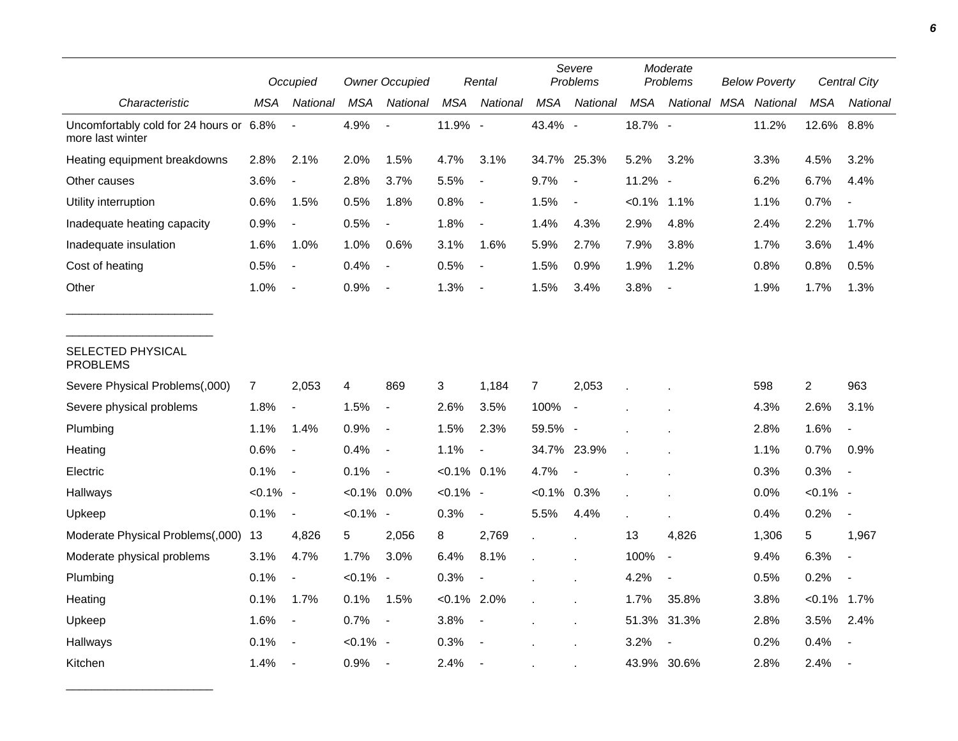|                                                             | Occupied       |                          | <b>Owner Occupied</b> |                          | Rental         |                          | Severe<br>Problems |                          | Moderate<br>Problems |                | <b>Below Poverty</b> |          | Central City   |                          |
|-------------------------------------------------------------|----------------|--------------------------|-----------------------|--------------------------|----------------|--------------------------|--------------------|--------------------------|----------------------|----------------|----------------------|----------|----------------|--------------------------|
| Characteristic                                              | MSA            | National                 | <b>MSA</b>            | National                 | <b>MSA</b>     | National                 | <b>MSA</b>         | National                 | MSA                  | National       | <b>MSA</b>           | National | <b>MSA</b>     | National                 |
| Uncomfortably cold for 24 hours or 6.8%<br>more last winter |                |                          | 4.9%                  |                          | 11.9% -        |                          | 43.4% -            |                          | 18.7% -              |                |                      | 11.2%    | 12.6% 8.8%     |                          |
| Heating equipment breakdowns                                | 2.8%           | 2.1%                     | 2.0%                  | 1.5%                     | 4.7%           | 3.1%                     |                    | 34.7% 25.3%              | 5.2%                 | 3.2%           |                      | 3.3%     | 4.5%           | 3.2%                     |
| Other causes                                                | 3.6%           |                          | 2.8%                  | 3.7%                     | 5.5%           |                          | 9.7%               | $\overline{\phantom{a}}$ | 11.2% -              |                |                      | 6.2%     | 6.7%           | 4.4%                     |
| Utility interruption                                        | 0.6%           | 1.5%                     | 0.5%                  | 1.8%                     | 0.8%           | $\blacksquare$           | 1.5%               | $\blacksquare$           | $< 0.1\%$            | 1.1%           |                      | 1.1%     | 0.7%           |                          |
| Inadequate heating capacity                                 | 0.9%           | $\blacksquare$           | 0.5%                  | $\blacksquare$           | 1.8%           | $\blacksquare$           | 1.4%               | 4.3%                     | 2.9%                 | 4.8%           |                      | 2.4%     | 2.2%           | 1.7%                     |
| Inadequate insulation                                       | 1.6%           | 1.0%                     | 1.0%                  | 0.6%                     | 3.1%           | 1.6%                     | 5.9%               | 2.7%                     | 7.9%                 | 3.8%           |                      | 1.7%     | 3.6%           | 1.4%                     |
| Cost of heating                                             | 0.5%           | $\overline{\phantom{a}}$ | 0.4%                  | $\blacksquare$           | 0.5%           | $\overline{\phantom{a}}$ | 1.5%               | 0.9%                     | 1.9%                 | 1.2%           |                      | 0.8%     | 0.8%           | 0.5%                     |
| Other                                                       | 1.0%           |                          | 0.9%                  |                          | 1.3%           | $\blacksquare$           | 1.5%               | 3.4%                     | 3.8%                 |                |                      | 1.9%     | 1.7%           | 1.3%                     |
| SELECTED PHYSICAL<br><b>PROBLEMS</b>                        |                |                          |                       |                          |                |                          |                    |                          |                      |                |                      |          |                |                          |
| Severe Physical Problems(,000)                              | $\overline{7}$ | 2,053                    | 4                     | 869                      | 3              | 1,184                    | $\overline{7}$     | 2,053                    |                      |                |                      | 598      | $\overline{c}$ | 963                      |
| Severe physical problems                                    | 1.8%           | $\blacksquare$           | 1.5%                  | $\blacksquare$           | 2.6%           | 3.5%                     | 100%               | $\overline{\phantom{a}}$ |                      |                |                      | 4.3%     | 2.6%           | 3.1%                     |
| Plumbing                                                    | 1.1%           | 1.4%                     | 0.9%                  | $\blacksquare$           | 1.5%           | 2.3%                     | 59.5% -            |                          |                      |                |                      | 2.8%     | 1.6%           |                          |
| Heating                                                     | 0.6%           | $\overline{\phantom{a}}$ | 0.4%                  | $\overline{\phantom{a}}$ | 1.1%           | $\overline{\phantom{a}}$ |                    | 34.7% 23.9%              |                      |                |                      | 1.1%     | 0.7%           | 0.9%                     |
| Electric                                                    | 0.1%           | $\sim$                   | 0.1%                  | $\overline{\phantom{a}}$ | $< 0.1\%$ 0.1% |                          | 4.7%               | $\overline{a}$           |                      |                |                      | 0.3%     | 0.3%           | $\overline{\phantom{a}}$ |
| Hallways                                                    | $< 0.1\%$ -    |                          | $< 0.1\%$ 0.0%        |                          | $< 0.1\%$ -    |                          | $< 0.1\%$ 0.3%     |                          |                      |                |                      | 0.0%     | $< 0.1\%$ -    |                          |
| Upkeep                                                      | 0.1%           | $\overline{\phantom{a}}$ | $< 0.1\%$ -           |                          | 0.3%           | $\blacksquare$           | 5.5%               | 4.4%                     |                      |                |                      | 0.4%     | 0.2%           | $\blacksquare$           |
| Moderate Physical Problems(,000)                            | 13             | 4,826                    | 5                     | 2,056                    | 8              | 2,769                    |                    | $\ddot{\phantom{a}}$     | 13                   | 4,826          |                      | 1,306    | 5              | 1,967                    |
| Moderate physical problems                                  | 3.1%           | 4.7%                     | 1.7%                  | 3.0%                     | 6.4%           | 8.1%                     |                    |                          | 100%                 | $\blacksquare$ |                      | 9.4%     | 6.3%           |                          |
| Plumbing                                                    | 0.1%           | $\overline{\phantom{a}}$ | $< 0.1\%$ -           |                          | 0.3%           |                          |                    |                          | 4.2%                 |                |                      | 0.5%     | 0.2%           |                          |
| Heating                                                     | 0.1%           | 1.7%                     | 0.1%                  | 1.5%                     | $< 0.1\%$ 2.0% |                          |                    | $\epsilon$               | 1.7%                 | 35.8%          |                      | 3.8%     | $< 0.1\%$      | 1.7%                     |
| Upkeep                                                      | 1.6%           | $\overline{\phantom{a}}$ | 0.7%                  | $\overline{\phantom{a}}$ | 3.8%           | $\sim$                   |                    |                          | 51.3%                | 31.3%          |                      | 2.8%     | 3.5%           | 2.4%                     |
| Hallways                                                    | 0.1%           | $\overline{\phantom{a}}$ | $< 0.1\%$ -           |                          | 0.3%           |                          |                    |                          | 3.2%                 |                |                      | 0.2%     | 0.4%           |                          |
| Kitchen                                                     | 1.4%           | $\overline{\phantom{a}}$ | $0.9\%$               | $\overline{\phantom{a}}$ | 2.4%           | $\sim$                   |                    |                          |                      | 43.9% 30.6%    |                      | 2.8%     | 2.4%           |                          |

\_\_\_\_\_\_\_\_\_\_\_\_\_\_\_\_\_\_\_\_\_\_\_